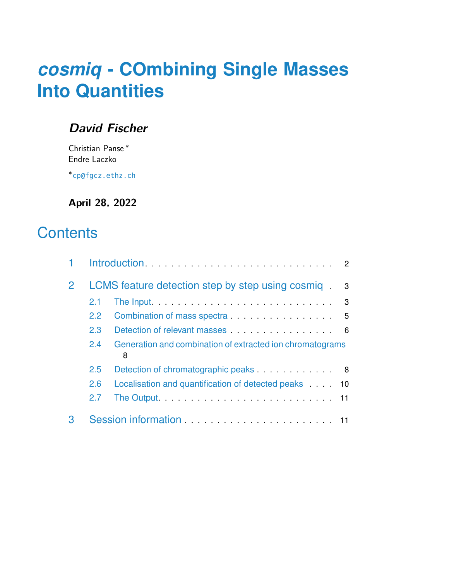# *[cosmiq](http://bioconductor.org/packages/cosmiq)* **- COmbining Single Masses Into Quantities**

### **David Fischer**

Christian Panse <sup>∗</sup> Endre Laczko

∗ [cp@fgcz.ethz.ch](mailto:cp@fgcz.ethz.ch)

**April 28, 2022**

## **Contents**

|               | LCMS feature detection step by step using cosmig                                                                                                                                                                                     | 3 |
|---------------|--------------------------------------------------------------------------------------------------------------------------------------------------------------------------------------------------------------------------------------|---|
| 2.1           | The Input <b>Exercise Contract Contract Contract Contract Contract Contract Contract Contract Contract Contract Contract Contract Contract Contract Contract Contract Contract Contract Contract Contract Contract Contract Cont</b> | 3 |
| $2.2^{\circ}$ | Combination of mass spectra 5                                                                                                                                                                                                        |   |
| 2.3           | Detection of relevant masses                                                                                                                                                                                                         | 6 |
| 2.4           | Generation and combination of extracted ion chromatograms<br>8                                                                                                                                                                       |   |
| 2.5           | Detection of chromatographic peaks expression of $\theta$                                                                                                                                                                            |   |
| 2.6           | Localisation and quantification of detected peaks 10                                                                                                                                                                                 |   |
| 2.7           |                                                                                                                                                                                                                                      |   |
|               |                                                                                                                                                                                                                                      |   |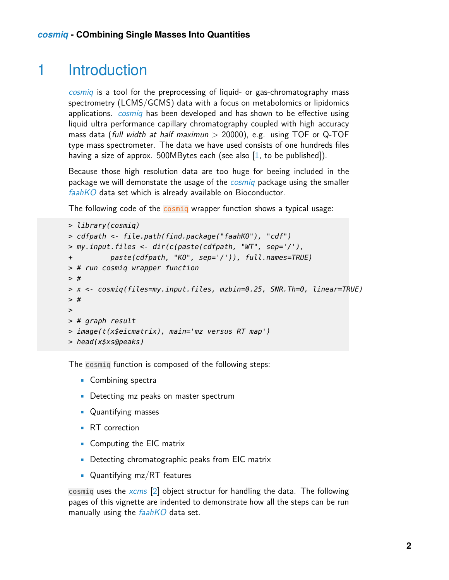## 1 Introduction

<span id="page-1-0"></span>[cosmiq](http://bioconductor.org/packages/cosmiq) is a tool for the preprocessing of liquid- or gas-chromatography mass spectrometry (LCMS/GCMS) data with a focus on metabolomics or lipidomics applications. *[cosmiq](http://bioconductor.org/packages/cosmiq)* has been developed and has shown to be effective using liquid ultra performance capillary chromatography coupled with high accuracy mass data (full width at half maximun  $>$  20000), e.g. using TOF or Q-TOF type mass spectrometer. The data we have used consists of one hundreds files having a size of approx. 500MBytes each (see also [\[1,](#page-12-0) to be published]).

Because those high resolution data are too huge for beeing included in the package we will demonstate the usage of the *[cosmiq](http://bioconductor.org/packages/cosmiq)* package using the smaller [faahKO](http://bioconductor.org/packages/faahKO) data set which is already available on Bioconductor.

The following code of the cosmiq wrapper function shows a typical usage:

```
> library(cosmiq)
> cdfpath <- file.path(find.package("faahKO"), "cdf")
> my.input.files <- dir(c(paste(cdfpath, "WT", sep='/'),
+ paste(cdfpath, "KO", sep='/')), full.names=TRUE)
> # run cosmiq wrapper function
> #
> x <- cosmiq(files=my.input.files, mzbin=0.25, SNR.Th=0, linear=TRUE)
> #
>
> # graph result
> image(t(x$eicmatrix), main='mz versus RT map')
> head(x$xs@peaks)
```
The cosmiq function is composed of the following steps:

- Combining spectra
- Detecting mz peaks on master spectrum
- Quantifying masses
- RT correction
- Computing the EIC matrix
- Detecting chromatographic peaks from EIC matrix
- Quantifying mz/RT features

<span id="page-1-1"></span>cosmiq uses the [xcms](http://bioconductor.org/packages/xcms) [\[2\]](#page-12-1) object structur for handling the data. The following pages of this vignette are indented to demonstrate how all the steps can be run manually using the  $faahKO$  data set.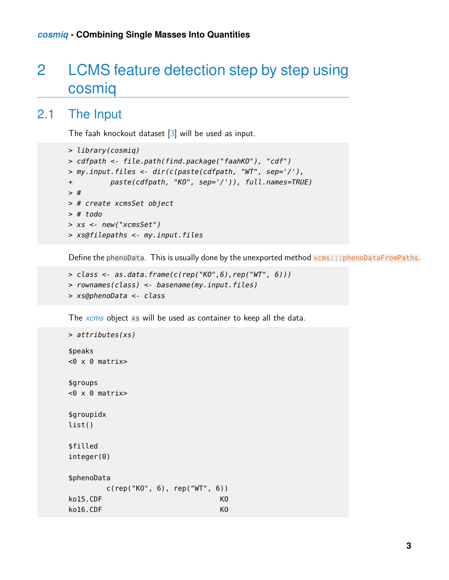## 2 LCMS feature detection step by step using cosmiq

### 2.1 The Input

<span id="page-2-0"></span>The faah knockout dataset [\[3\]](#page-12-2) will be used as input.

```
> library(cosmiq)
> cdfpath <- file.path(find.package("faahKO"), "cdf")
> my.input.files <- dir(c(paste(cdfpath, "WT", sep='/'),
+ paste(cdfpath, "KO", sep='/')), full.names=TRUE)
>#
> # create xcmsSet object
> # todo
> xs <- new("xcmsSet")
> xs@filepaths <- my.input.files
```
Define the phenoData. This is usually done by the unexported method xcms:::phenoDataFromPaths.

```
> class <- as.data.frame(c(rep("KO", 6), rep("WT", 6)))
> rownames(class) <- basename(my.input.files)
> xs@phenoData <- class
```
The [xcms](http://bioconductor.org/packages/xcms) object xs will be used as container to keep all the data.

```
> attributes(xs)
$peaks
<0 x 0 matrix>$groups
<0 x 0 matrix>$groupidx
list()
$filled
integer(0)
$phenoData
       c(rep("KO", 6), rep("WT", 6))
ko15.CDF KO
ko16.CDF KO
```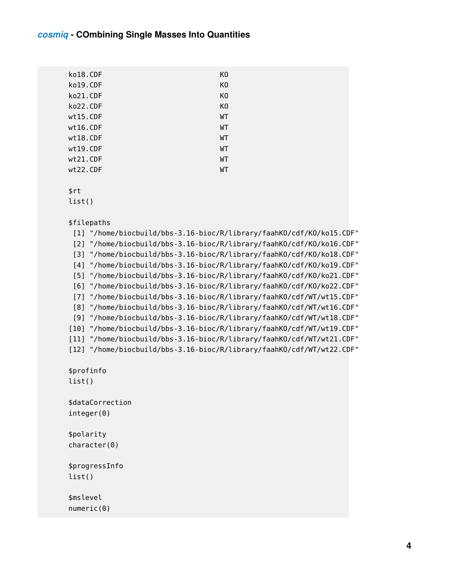| ko18.CDF | K <sub>0</sub> |
|----------|----------------|
| ko19.CDF | K <sub>0</sub> |
| ko21.CDF | K <sub>0</sub> |
| ko22.CDF | K0             |
| wt15.CDF | WT             |
| wt16.CDF | WT             |
| wt18.CDF | WТ             |
| wt19.CDF | WТ             |
| wt21.CDF | WТ             |
| wt22.CDF | WT             |
|          |                |

\$rt

list()

```
$filepaths
```
[1] "/home/biocbuild/bbs-3.16-bioc/R/library/faahKO/cdf/KO/ko15.CDF" [2] "/home/biocbuild/bbs-3.16-bioc/R/library/faahKO/cdf/KO/ko16.CDF" [3] "/home/biocbuild/bbs-3.16-bioc/R/library/faahKO/cdf/KO/ko18.CDF" [4] "/home/biocbuild/bbs-3.16-bioc/R/library/faahKO/cdf/KO/ko19.CDF" [5] "/home/biocbuild/bbs-3.16-bioc/R/library/faahKO/cdf/KO/ko21.CDF" [6] "/home/biocbuild/bbs-3.16-bioc/R/library/faahKO/cdf/KO/ko22.CDF" [7] "/home/biocbuild/bbs-3.16-bioc/R/library/faahKO/cdf/WT/wt15.CDF" [8] "/home/biocbuild/bbs-3.16-bioc/R/library/faahKO/cdf/WT/wt16.CDF" [9] "/home/biocbuild/bbs-3.16-bioc/R/library/faahKO/cdf/WT/wt18.CDF" [10] "/home/biocbuild/bbs-3.16-bioc/R/library/faahKO/cdf/WT/wt19.CDF" [11] "/home/biocbuild/bbs-3.16-bioc/R/library/faahKO/cdf/WT/wt21.CDF" [12] "/home/biocbuild/bbs-3.16-bioc/R/library/faahKO/cdf/WT/wt22.CDF" \$profinfo list() \$dataCorrection integer(0) \$polarity character(0) \$progressInfo list()

\$mslevel numeric(0)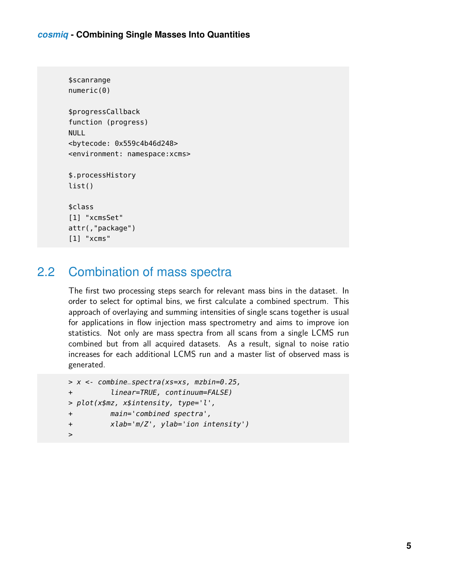```
$scanrange
numeric(0)
$progressCallback
function (progress)
NULL
<bytecode: 0x559c4b46d248>
<environment: namespace:xcms>
$.processHistory
list()
$class
[1] "xcmsSet"
attr(,"package")
[1] "xcms"
```
### <span id="page-4-0"></span>2.2 Combination of mass spectra

The first two processing steps search for relevant mass bins in the dataset. In order to select for optimal bins, we first calculate a combined spectrum. This approach of overlaying and summing intensities of single scans together is usual for applications in flow injection mass spectrometry and aims to improve ion statistics. Not only are mass spectra from all scans from a single LCMS run combined but from all acquired datasets. As a result, signal to noise ratio increases for each additional LCMS run and a master list of observed mass is generated.

```
> x <- combine_spectra(xs=xs, mzbin=0.25,
+ linear=TRUE, continuum=FALSE)
> plot(x$mz, x$intensity, type='l',
+ main='combined spectra',
+ xlab='m/Z', ylab='ion intensity')
>
```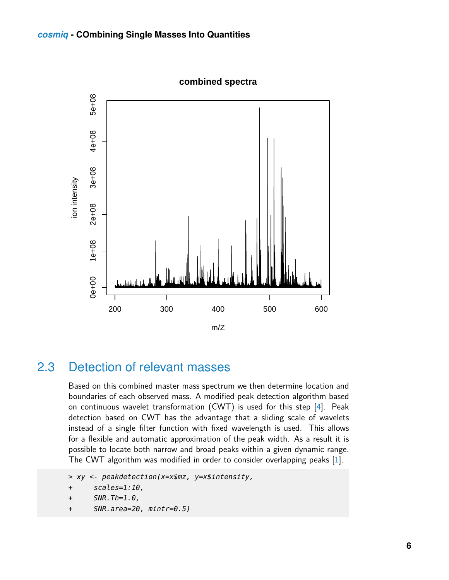**combined spectra**



### <span id="page-5-0"></span>2.3 Detection of relevant masses

Based on this combined master mass spectrum we then determine location and boundaries of each observed mass. A modified peak detection algorithm based on continuous wavelet transformation (CWT) is used for this step [\[4\]](#page-12-3). Peak detection based on CWT has the advantage that a sliding scale of wavelets instead of a single filter function with fixed wavelength is used. This allows for a flexible and automatic approximation of the peak width. As a result it is possible to locate both narrow and broad peaks within a given dynamic range. The CWT algorithm was modified in order to consider overlapping peaks [\[1\]](#page-12-0).

```
> xy <- peakdetection(x=x$mz, y=x$intensity,
```

```
+ scales=1:10,
```

```
+ SNR.Th=1.0,
```
+ SNR.area=20, mintr=0.5)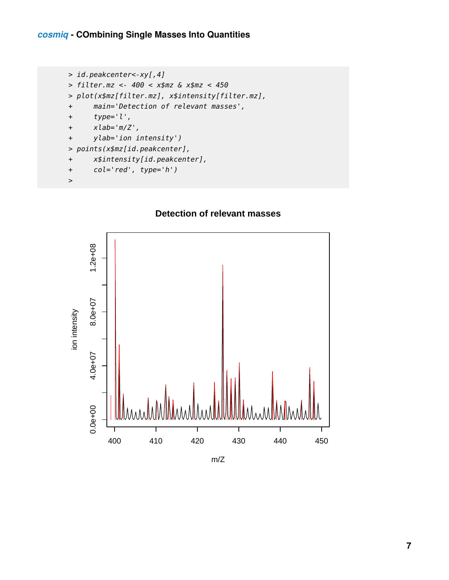```
> id.peakcenter<-xy[,4]
> filter.mz <- 400 < x$mz & x$mz < 450
> plot(x$mz[filter.mz], x$intensity[filter.mz],
+ main='Detection of relevant masses',
+ type='l',
+ xlab='m/Z',
+ ylab='ion intensity')
> points(x$mz[id.peakcenter],
+ x$intensity[id.peakcenter],
+ col='red', type='h')
```
>

#### **Detection of relevant masses**



<span id="page-6-0"></span>m/Z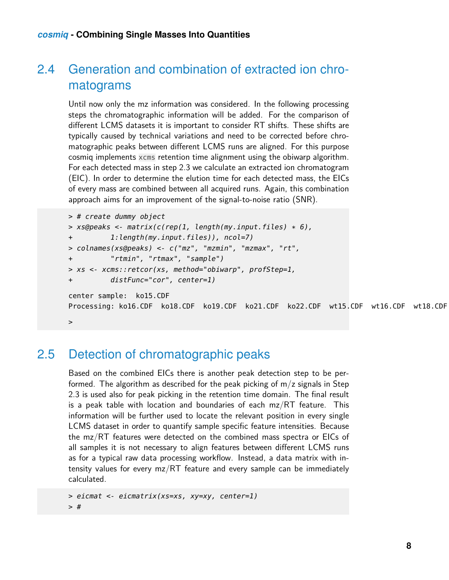### 2.4 Generation and combination of extracted ion chromatograms

Until now only the mz information was considered. In the following processing steps the chromatographic information will be added. For the comparison of different LCMS datasets it is important to consider RT shifts. These shifts are typically caused by technical variations and need to be corrected before chromatographic peaks between different LCMS runs are aligned. For this purpose cosmiq implements xcms retention time alignment using the obiwarp algorithm. For each detected mass in step 2.3 we calculate an extracted ion chromatogram (EIC). In order to determine the elution time for each detected mass, the EICs of every mass are combined between all acquired runs. Again, this combination approach aims for an improvement of the signal-to-noise ratio (SNR).

```
> # create dummy object
> xs@peaks <- matrix(c(rep(1, length(my.input.files) * 6),
+ 1:length(my.input.files)), ncol=7)
> colnames(xs@peaks) <- c("mz", "mzmin", "mzmax", "rt",
+ "rtmin", "rtmax", "sample")
> xs <- xcms::retcor(xs, method="obiwarp", profStep=1,
+ distFunc="cor", center=1)
center sample: ko15.CDF
Processing: ko16.CDF ko18.CDF ko19.CDF ko21.CDF ko22.CDF wt15.CDF wt16.CDF wt18.CDF
>
```
### <span id="page-7-0"></span>2.5 Detection of chromatographic peaks

Based on the combined EICs there is another peak detection step to be performed. The algorithm as described for the peak picking of  $m/z$  signals in Step 2.3 is used also for peak picking in the retention time domain. The final result is a peak table with location and boundaries of each  $mz/RT$  feature. This information will be further used to locate the relevant position in every single LCMS dataset in order to quantify sample specific feature intensities. Because the mz/RT features were detected on the combined mass spectra or EICs of all samples it is not necessary to align features between different LCMS runs as for a typical raw data processing workflow. Instead, a data matrix with intensity values for every mz/RT feature and every sample can be immediately calculated.

> eicmat <- eicmatrix(xs=xs, xy=xy, center=1) > #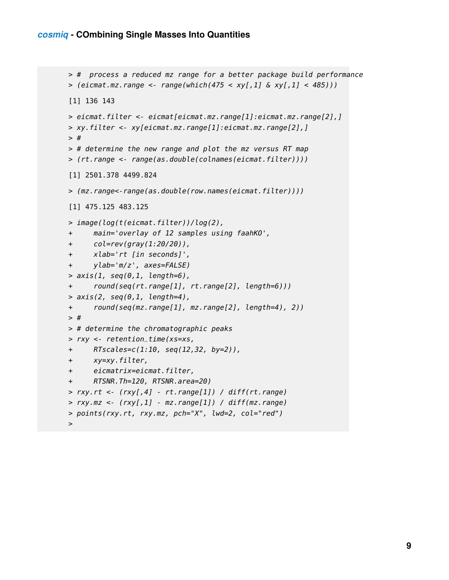```
> # process a reduced mz range for a better package build performance
> (eicmat.mz.random - range(-which(475 < xy[,1] \& xy[,1] < 485))[1] 136 143
> eicmat.filter <- eicmat[eicmat.mz.range[1]:eicmat.mz.range[2],]
> xy.filter <- xy[eicmat.mz.range[1]:eicmat.mz.range[2],]
> #
> # determine the new range and plot the mz versus RT map
> (rt.range <- range(as.double(colnames(eicmat.filter))))
[1] 2501.378 4499.824
> (mz.range<-range(as.double(row.names(eicmat.filter))))
[1] 475.125 483.125
> image(log(t(eicmat.filter))/log(2),
+ main='overlay of 12 samples using faahKO',
+ col=rev(gray(1:20/20)),
+ xlab='rt [in seconds]',
+ ylab='m/z', axes=FALSE)
> axis(1, seq(0, 1, length=6),+ round(seq(rt.range[1], rt.range[2], length=6)))
> axis(2, seq(0, 1, length=4),+ round(seq(mz.range[1], mz.range[2], length=4), 2))
> #
> # determine the chromatographic peaks
> rxy <- retention_time(xs=xs,
+ RTscales=c(1:10, seq(12,32, by=2)),
+ xy=xy.filter,
+ eicmatrix=eicmat.filter,
+ RTSNR.Th=120, RTSNR.area=20)
> ry.r, rt < (ry[, 4] - rt.\n{range[1]} / diff(rt.\n{range})> rxy.mz < (rxy[,1] - mz.random[1]) / diff(mx.random)> points(rxy.rt, rxy.mz, pch="X", lwd=2, col="red")
>
```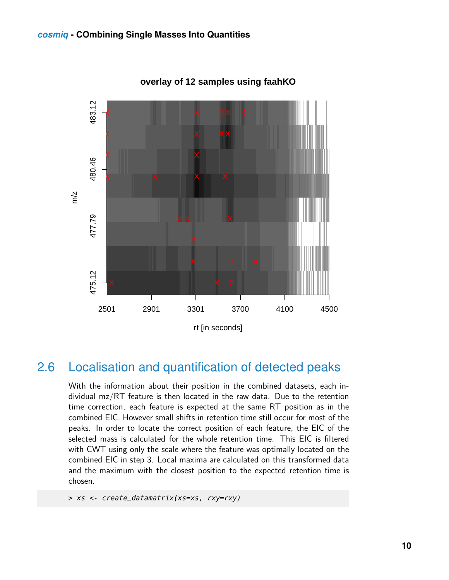

**overlay of 12 samples using faahKO**

### <span id="page-9-0"></span>2.6 Localisation and quantification of detected peaks

With the information about their position in the combined datasets, each individual mz/RT feature is then located in the raw data. Due to the retention time correction, each feature is expected at the same RT position as in the combined EIC. However small shifts in retention time still occur for most of the peaks. In order to locate the correct position of each feature, the EIC of the selected mass is calculated for the whole retention time. This EIC is filtered with CWT using only the scale where the feature was optimally located on the combined EIC in step 3. Local maxima are calculated on this transformed data and the maximum with the closest position to the expected retention time is chosen.

<span id="page-9-1"></span>> xs <- create\_datamatrix(xs=xs, rxy=rxy)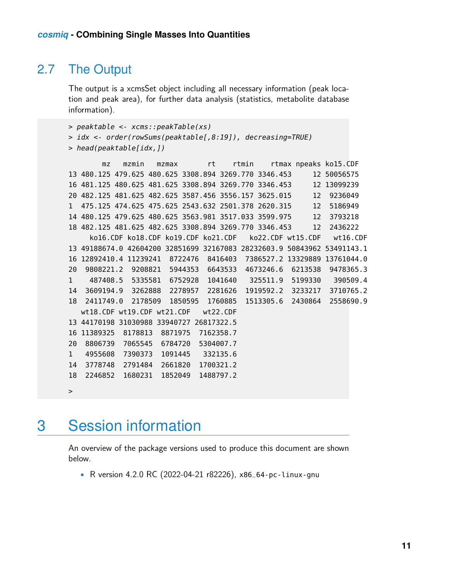### 2.7 The Output

The output is a xcmsSet object including all necessary information (peak location and peak area), for further data analysis (statistics, metabolite database information).

```
> peaktable <- xcms::peakTable(xs)
```

```
> idx <- order(rowSums(peaktable[,8:19]), decreasing=TRUE)
> head(peaktable[idx,])
```
mz mzmin mzmax rt rtmin rtmax npeaks ko15.CDF 13 480.125 479.625 480.625 3308.894 3269.770 3346.453 12 50056575 16 481.125 480.625 481.625 3308.894 3269.770 3346.453 12 13099239 20 482.125 481.625 482.625 3587.456 3556.157 3625.015 12 9236049 1 475.125 474.625 475.625 2543.632 2501.378 2620.315 12 5186949 14 480.125 479.625 480.625 3563.981 3517.033 3599.975 12 3793218 18 482.125 481.625 482.625 3308.894 3269.770 3346.453 12 2436222 ko16.CDF ko18.CDF ko19.CDF ko21.CDF ko22.CDF wt15.CDF wt16.CDF 13 49188674.0 42604200 32851699 32167083 28232603.9 50843962 53491143.1 16 12892410.4 11239241 8722476 8416403 7386527.2 13329889 13761044.0 20 9808221.2 9208821 5944353 6643533 4673246.6 6213538 9478365.3 1 487408.5 5335581 6752928 1041640 325511.9 5199330 390509.4 14 3609194.9 3262888 2278957 2281626 1919592.2 3233217 3710765.2 18 2411749.0 2178509 1850595 1760885 1513305.6 2430864 2558690.9 wt18.CDF wt19.CDF wt21.CDF wt22.CDF 13 44170198 31030988 33940727 26817322.5 16 11389325 8178813 8871975 7162358.7 20 8806739 7065545 6784720 5304007.7 1 4955608 7390373 1091445 332135.6 14 3778748 2791484 2661820 1700321.2 18 2246852 1680231 1852049 1488797.2  $\,$ 

## <span id="page-10-0"></span>3 Session information

An overview of the package versions used to produce this document are shown below.

• R version 4.2.0 RC (2022-04-21 r82226), x86\_64-pc-linux-gnu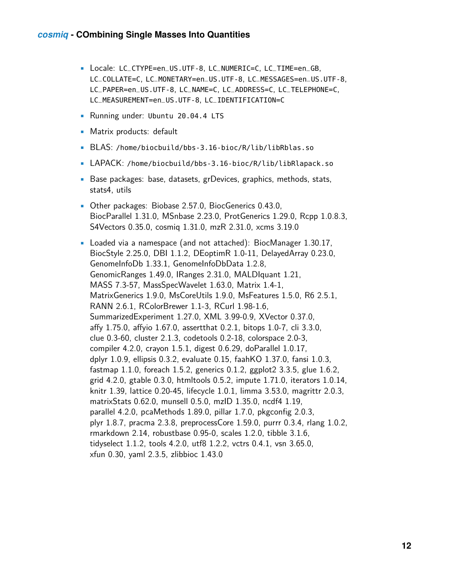- Locale: LC\_CTYPE=en\_US.UTF-8, LC\_NUMERIC=C, LC\_TIME=en\_GB, LC\_COLLATE=C, LC\_MONETARY=en\_US.UTF-8, LC\_MESSAGES=en\_US.UTF-8, LC\_PAPER=en\_US.UTF-8, LC\_NAME=C, LC\_ADDRESS=C, LC\_TELEPHONE=C, LC\_MEASUREMENT=en\_US.UTF-8, LC\_IDENTIFICATION=C
- Running under: Ubuntu 20.04.4 LTS
- Matrix products: default
- BLAS: /home/biocbuild/bbs-3.16-bioc/R/lib/libRblas.so
- LAPACK: /home/biocbuild/bbs-3.16-bioc/R/lib/libRlapack.so
- Base packages: base, datasets, grDevices, graphics, methods, stats, stats4, utils
- Other packages: Biobase 2.57.0, BiocGenerics 0.43.0, BiocParallel 1.31.0, MSnbase 2.23.0, ProtGenerics 1.29.0, Rcpp 1.0.8.3, S4Vectors 0.35.0, cosmiq 1.31.0, mzR 2.31.0, xcms 3.19.0
- Loaded via a namespace (and not attached): BiocManager 1.30.17, BiocStyle 2.25.0, DBI 1.1.2, DEoptimR 1.0-11, DelayedArray 0.23.0, GenomeInfoDb 1.33.1, GenomeInfoDbData 1.2.8, GenomicRanges 1.49.0, IRanges 2.31.0, MALDIquant 1.21, MASS 7.3-57, MassSpecWavelet 1.63.0, Matrix 1.4-1, MatrixGenerics 1.9.0, MsCoreUtils 1.9.0, MsFeatures 1.5.0, R6 2.5.1, RANN 2.6.1, RColorBrewer 1.1-3, RCurl 1.98-1.6, SummarizedExperiment 1.27.0, XML 3.99-0.9, XVector 0.37.0, affy 1.75.0, affyio 1.67.0, assertthat 0.2.1, bitops 1.0-7, cli 3.3.0, clue 0.3-60, cluster 2.1.3, codetools 0.2-18, colorspace 2.0-3, compiler 4.2.0, crayon 1.5.1, digest 0.6.29, doParallel 1.0.17, dplyr 1.0.9, ellipsis 0.3.2, evaluate 0.15, faahKO 1.37.0, fansi 1.0.3, fastmap 1.1.0, foreach 1.5.2, generics 0.1.2, ggplot2 3.3.5, glue 1.6.2, grid 4.2.0, gtable 0.3.0, htmltools 0.5.2, impute 1.71.0, iterators 1.0.14, knitr 1.39, lattice 0.20-45, lifecycle 1.0.1, limma 3.53.0, magrittr 2.0.3, matrixStats 0.62.0, munsell 0.5.0, mzID 1.35.0, ncdf4 1.19, parallel 4.2.0, pcaMethods 1.89.0, pillar 1.7.0, pkgconfig 2.0.3, plyr 1.8.7, pracma 2.3.8, preprocessCore 1.59.0, purrr 0.3.4, rlang 1.0.2, rmarkdown 2.14, robustbase 0.95-0, scales 1.2.0, tibble 3.1.6, tidyselect 1.1.2, tools 4.2.0, utf8 1.2.2, vctrs 0.4.1, vsn 3.65.0, xfun 0.30, yaml 2.3.5, zlibbioc 1.43.0